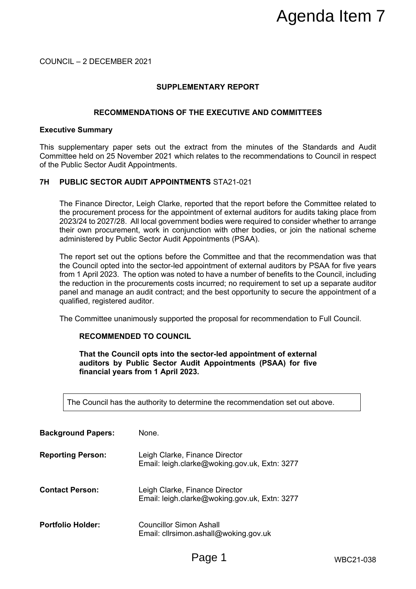# **SUPPLEMENTARY REPORT**

# **RECOMMENDATIONS OF THE EXECUTIVE AND COMMITTEES**

#### **Executive Summary**

# **7H PUBLIC SECTOR AUDIT APPOINTMENTS** STA21-021

# **RECOMMENDED TO COUNCIL**

|                                                 |                                                                                                                                                                                                                                                                                                                                                                                                                                                                                             | Agenda Item 7    |
|-------------------------------------------------|---------------------------------------------------------------------------------------------------------------------------------------------------------------------------------------------------------------------------------------------------------------------------------------------------------------------------------------------------------------------------------------------------------------------------------------------------------------------------------------------|------------------|
| COUNCIL - 2 DECEMBER 2021                       |                                                                                                                                                                                                                                                                                                                                                                                                                                                                                             |                  |
|                                                 | <b>SUPPLEMENTARY REPORT</b>                                                                                                                                                                                                                                                                                                                                                                                                                                                                 |                  |
| RECOMMENDATIONS OF THE EXECUTIVE AND COMMITTEES |                                                                                                                                                                                                                                                                                                                                                                                                                                                                                             |                  |
| <b>Executive Summary</b>                        |                                                                                                                                                                                                                                                                                                                                                                                                                                                                                             |                  |
| of the Public Sector Audit Appointments.        | This supplementary paper sets out the extract from the minutes of the Standards and Audit<br>Committee held on 25 November 2021 which relates to the recommendations to Council in respect                                                                                                                                                                                                                                                                                                  |                  |
| 7H                                              | <b>PUBLIC SECTOR AUDIT APPOINTMENTS STA21-021</b>                                                                                                                                                                                                                                                                                                                                                                                                                                           |                  |
|                                                 | The Finance Director, Leigh Clarke, reported that the report before the Committee related to<br>the procurement process for the appointment of external auditors for audits taking place from<br>2023/24 to 2027/28. All local government bodies were required to consider whether to arrange<br>their own procurement, work in conjunction with other bodies, or join the national scheme<br>administered by Public Sector Audit Appointments (PSAA).                                      |                  |
| qualified, registered auditor.                  | The report set out the options before the Committee and that the recommendation was that<br>the Council opted into the sector-led appointment of external auditors by PSAA for five years<br>from 1 April 2023. The option was noted to have a number of benefits to the Council, including<br>the reduction in the procurements costs incurred; no requirement to set up a separate auditor<br>panel and manage an audit contract; and the best opportunity to secure the appointment of a |                  |
|                                                 | The Committee unanimously supported the proposal for recommendation to Full Council.                                                                                                                                                                                                                                                                                                                                                                                                        |                  |
|                                                 | <b>RECOMMENDED TO COUNCIL</b>                                                                                                                                                                                                                                                                                                                                                                                                                                                               |                  |
|                                                 | That the Council opts into the sector-led appointment of external<br>auditors by Public Sector Audit Appointments (PSAA) for five<br>financial years from 1 April 2023.                                                                                                                                                                                                                                                                                                                     |                  |
|                                                 | The Council has the authority to determine the recommendation set out above.                                                                                                                                                                                                                                                                                                                                                                                                                |                  |
| <b>Background Papers:</b>                       | None.                                                                                                                                                                                                                                                                                                                                                                                                                                                                                       |                  |
| <b>Reporting Person:</b>                        | Leigh Clarke, Finance Director<br>Email: leigh.clarke@woking.gov.uk, Extn: 3277                                                                                                                                                                                                                                                                                                                                                                                                             |                  |
| <b>Contact Person:</b>                          | Leigh Clarke, Finance Director<br>Email: leigh.clarke@woking.gov.uk, Extn: 3277                                                                                                                                                                                                                                                                                                                                                                                                             |                  |
| <b>Portfolio Holder:</b>                        | <b>Councillor Simon Ashall</b><br>Email: cllrsimon.ashall@woking.gov.uk                                                                                                                                                                                                                                                                                                                                                                                                                     |                  |
|                                                 | Page 1                                                                                                                                                                                                                                                                                                                                                                                                                                                                                      | <b>WBC21-038</b> |